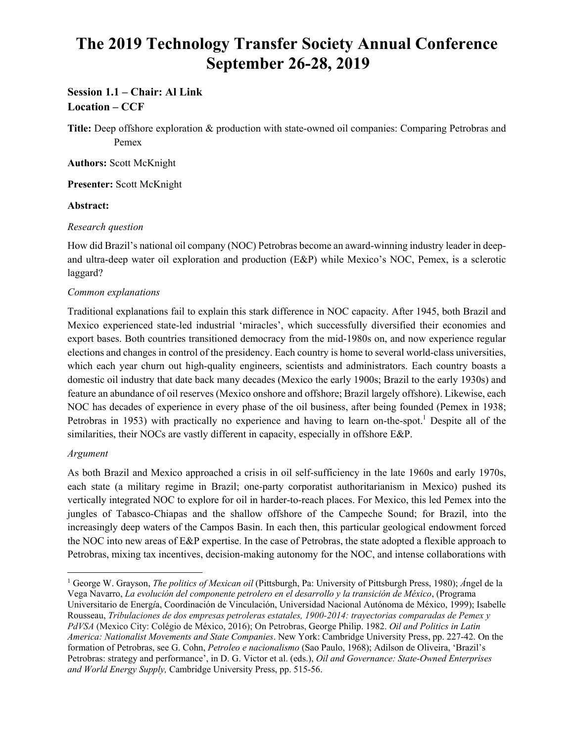# **The 2019 Technology Transfer Society Annual Conference September 26-28, 2019**

## **Session 1.1 – Chair: Al Link Location – CCF**

**Title:** Deep offshore exploration & production with state-owned oil companies: Comparing Petrobras and Pemex

**Authors:** Scott McKnight

**Presenter:** Scott McKnight

#### **Abstract:**

#### *Research question*

How did Brazil's national oil company (NOC) Petrobras become an award-winning industry leader in deepand ultra-deep water oil exploration and production (E&P) while Mexico's NOC, Pemex, is a sclerotic laggard?

#### *Common explanations*

Traditional explanations fail to explain this stark difference in NOC capacity. After 1945, both Brazil and Mexico experienced state-led industrial 'miracles', which successfully diversified their economies and export bases. Both countries transitioned democracy from the mid-1980s on, and now experience regular elections and changes in control of the presidency. Each country is home to several world-class universities, which each year churn out high-quality engineers, scientists and administrators. Each country boasts a domestic oil industry that date back many decades (Mexico the early 1900s; Brazil to the early 1930s) and feature an abundance of oil reserves (Mexico onshore and offshore; Brazil largely offshore). Likewise, each NOC has decades of experience in every phase of the oil business, after being founded (Pemex in 1938; Petrobras in 1953) with practically no experience and having to learn on-the-spot.<sup>1</sup> Despite all of the similarities, their NOCs are vastly different in capacity, especially in offshore E&P.

### *Argument*

As both Brazil and Mexico approached a crisis in oil self-sufficiency in the late 1960s and early 1970s, each state (a military regime in Brazil; one-party corporatist authoritarianism in Mexico) pushed its vertically integrated NOC to explore for oil in harder-to-reach places. For Mexico, this led Pemex into the jungles of Tabasco-Chiapas and the shallow offshore of the Campeche Sound; for Brazil, into the increasingly deep waters of the Campos Basin. In each then, this particular geological endowment forced the NOC into new areas of E&P expertise. In the case of Petrobras, the state adopted a flexible approach to Petrobras, mixing tax incentives, decision-making autonomy for the NOC, and intense collaborations with

1 George W. Grayson, *The politics of Mexican oil* (Pittsburgh, Pa: University of Pittsburgh Press, 1980); *Á*ngel de la Vega Navarro, *La evolución del componente petrolero en el desarrollo y la transición de México*, (Programa Universitario de Energ*í*a, Coordinación de Vinculación, Universidad Nacional Autónoma de México, 1999); Isabelle Rousseau, *Tribulaciones de dos empresas petroleras estatales, 1900-2014: trayectorias comparadas de Pemex y PdVSA* (Mexico City: Colégio de México, 2016); On Petrobras, George Philip. 1982. *Oil and Politics in Latin America: Nationalist Movements and State Companies*. New York: Cambridge University Press, pp. 227-42. On the formation of Petrobras, see G. Cohn, *Petroleo e nacionalismo* (Sao Paulo, 1968); Adilson de Oliveira, 'Brazil's Petrobras: strategy and performance', in D. G. Victor et al. (eds.), *Oil and Governance: State-Owned Enterprises and World Energy Supply,* Cambridge University Press, pp. 515-56.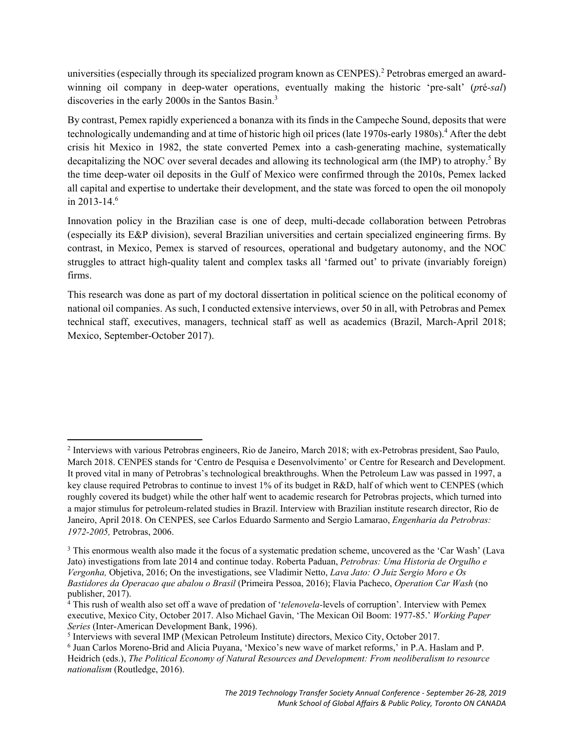universities (especially through its specialized program known as CENPES).<sup>2</sup> Petrobras emerged an awardwinning oil company in deep-water operations, eventually making the historic 'pre-salt' (*p*ré*-sal*) discoveries in the early 2000s in the Santos Basin.<sup>3</sup>

By contrast, Pemex rapidly experienced a bonanza with its finds in the Campeche Sound, deposits that were technologically undemanding and at time of historic high oil prices (late 1970s-early 1980s).<sup>4</sup> After the debt crisis hit Mexico in 1982, the state converted Pemex into a cash-generating machine, systematically decapitalizing the NOC over several decades and allowing its technological arm (the IMP) to atrophy.<sup>5</sup> By the time deep-water oil deposits in the Gulf of Mexico were confirmed through the 2010s, Pemex lacked all capital and expertise to undertake their development, and the state was forced to open the oil monopoly in 2013-14. $6$ 

Innovation policy in the Brazilian case is one of deep, multi-decade collaboration between Petrobras (especially its E&P division), several Brazilian universities and certain specialized engineering firms. By contrast, in Mexico, Pemex is starved of resources, operational and budgetary autonomy, and the NOC struggles to attract high-quality talent and complex tasks all 'farmed out' to private (invariably foreign) firms.

This research was done as part of my doctoral dissertation in political science on the political economy of national oil companies. As such, I conducted extensive interviews, over 50 in all, with Petrobras and Pemex technical staff, executives, managers, technical staff as well as academics (Brazil, March-April 2018; Mexico, September-October 2017).

 <sup>2</sup> Interviews with various Petrobras engineers, Rio de Janeiro, March 2018; with ex-Petrobras president, Sao Paulo, March 2018. CENPES stands for 'Centro de Pesquisa e Desenvolvimento' or Centre for Research and Development. It proved vital in many of Petrobras's technological breakthroughs. When the Petroleum Law was passed in 1997, a key clause required Petrobras to continue to invest 1% of its budget in R&D, half of which went to CENPES (which roughly covered its budget) while the other half went to academic research for Petrobras projects, which turned into a major stimulus for petroleum-related studies in Brazil. Interview with Brazilian institute research director, Rio de Janeiro, April 2018. On CENPES, see Carlos Eduardo Sarmento and Sergio Lamarao, *Engenharia da Petrobras: 1972-2005,* Petrobras, 2006.

<sup>&</sup>lt;sup>3</sup> This enormous wealth also made it the focus of a systematic predation scheme, uncovered as the 'Car Wash' (Lava Jato) investigations from late 2014 and continue today. Roberta Paduan, *Petrobras: Uma Historia de Orgulho e Vergonha,* Objetiva, 2016; On the investigations, see Vladimir Netto, *Lava Jato: O Juiz Sergio Moro e Os Bastidores da Operacao que abalou o Brasil* (Primeira Pessoa, 2016); Flavia Pacheco, *Operation Car Wash* (no publisher, 2017).

<sup>4</sup> This rush of wealth also set off a wave of predation of '*telenovela-*levels of corruption'. Interview with Pemex executive, Mexico City, October 2017. Also Michael Gavin, 'The Mexican Oil Boom: 1977-85.' *Working Paper Series* (Inter-American Development Bank, 1996).

<sup>&</sup>lt;sup>5</sup> Interviews with several IMP (Mexican Petroleum Institute) directors, Mexico City, October 2017.

<sup>6</sup> Juan Carlos Moreno-Brid and Alicia Puyana, 'Mexico's new wave of market reforms,' in P.A. Haslam and P. Heidrich (eds.), *The Political Economy of Natural Resources and Development: From neoliberalism to resource nationalism* (Routledge, 2016).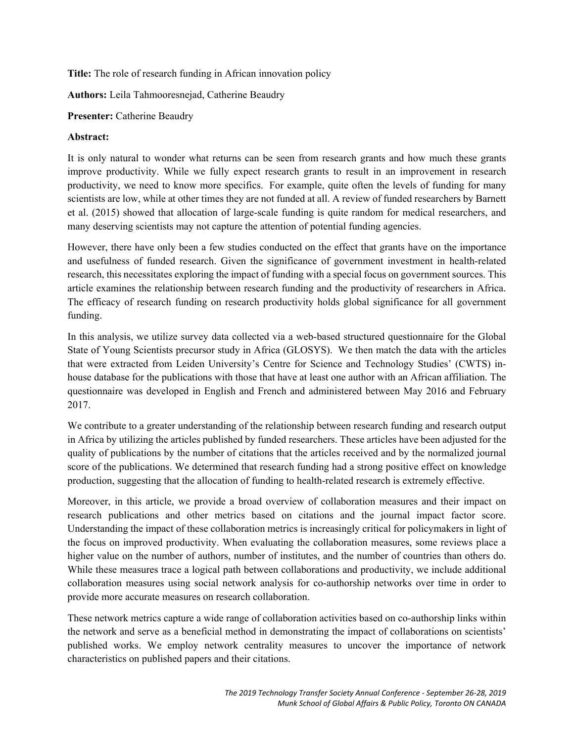**Title:** The role of research funding in African innovation policy

**Authors:** Leila Tahmooresnejad, Catherine Beaudry

**Presenter:** Catherine Beaudry

#### **Abstract:**

It is only natural to wonder what returns can be seen from research grants and how much these grants improve productivity. While we fully expect research grants to result in an improvement in research productivity, we need to know more specifics. For example, quite often the levels of funding for many scientists are low, while at other times they are not funded at all. A review of funded researchers by Barnett et al. (2015) showed that allocation of large-scale funding is quite random for medical researchers, and many deserving scientists may not capture the attention of potential funding agencies.

However, there have only been a few studies conducted on the effect that grants have on the importance and usefulness of funded research. Given the significance of government investment in health-related research, this necessitates exploring the impact of funding with a special focus on government sources. This article examines the relationship between research funding and the productivity of researchers in Africa. The efficacy of research funding on research productivity holds global significance for all government funding.

In this analysis, we utilize survey data collected via a web-based structured questionnaire for the Global State of Young Scientists precursor study in Africa (GLOSYS). We then match the data with the articles that were extracted from Leiden University's Centre for Science and Technology Studies' (CWTS) inhouse database for the publications with those that have at least one author with an African affiliation. The questionnaire was developed in English and French and administered between May 2016 and February 2017.

We contribute to a greater understanding of the relationship between research funding and research output in Africa by utilizing the articles published by funded researchers. These articles have been adjusted for the quality of publications by the number of citations that the articles received and by the normalized journal score of the publications. We determined that research funding had a strong positive effect on knowledge production, suggesting that the allocation of funding to health-related research is extremely effective.

Moreover, in this article, we provide a broad overview of collaboration measures and their impact on research publications and other metrics based on citations and the journal impact factor score. Understanding the impact of these collaboration metrics is increasingly critical for policymakers in light of the focus on improved productivity. When evaluating the collaboration measures, some reviews place a higher value on the number of authors, number of institutes, and the number of countries than others do. While these measures trace a logical path between collaborations and productivity, we include additional collaboration measures using social network analysis for co-authorship networks over time in order to provide more accurate measures on research collaboration.

These network metrics capture a wide range of collaboration activities based on co-authorship links within the network and serve as a beneficial method in demonstrating the impact of collaborations on scientists' published works. We employ network centrality measures to uncover the importance of network characteristics on published papers and their citations.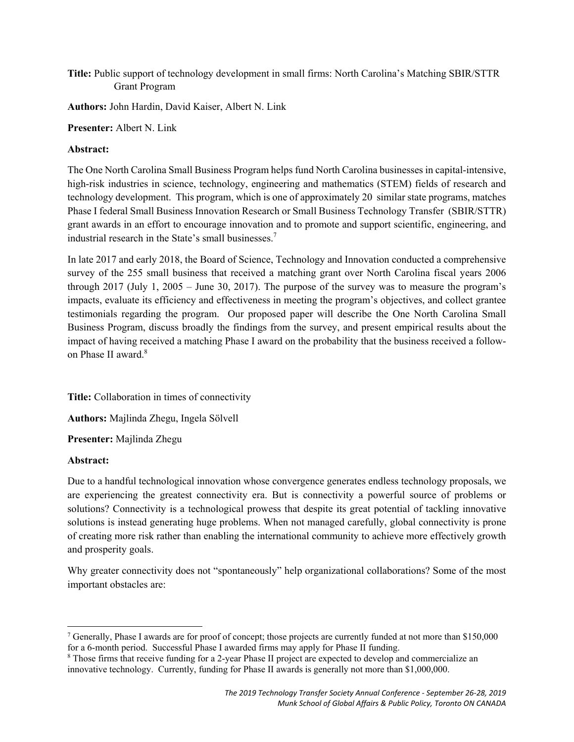**Title:** Public support of technology development in small firms: North Carolina's Matching SBIR/STTR Grant Program

**Authors:** John Hardin, David Kaiser, Albert N. Link

**Presenter:** Albert N. Link

#### **Abstract:**

The One North Carolina Small Business Program helps fund North Carolina businesses in capital-intensive, high-risk industries in science, technology, engineering and mathematics (STEM) fields of research and technology development. This program, which is one of approximately 20 similar state programs, matches Phase I federal Small Business Innovation Research or Small Business Technology Transfer (SBIR/STTR) grant awards in an effort to encourage innovation and to promote and support scientific, engineering, and industrial research in the State's small businesses.<sup>7</sup>

In late 2017 and early 2018, the Board of Science, Technology and Innovation conducted a comprehensive survey of the 255 small business that received a matching grant over North Carolina fiscal years 2006 through 2017 (July 1, 2005 – June 30, 2017). The purpose of the survey was to measure the program's impacts, evaluate its efficiency and effectiveness in meeting the program's objectives, and collect grantee testimonials regarding the program. Our proposed paper will describe the One North Carolina Small Business Program, discuss broadly the findings from the survey, and present empirical results about the impact of having received a matching Phase I award on the probability that the business received a followon Phase II award.<sup>8</sup>

**Title:** Collaboration in times of connectivity

**Authors:** Majlinda Zhegu, Ingela Sölvell

**Presenter:** Majlinda Zhegu

#### **Abstract:**

Due to a handful technological innovation whose convergence generates endless technology proposals, we are experiencing the greatest connectivity era. But is connectivity a powerful source of problems or solutions? Connectivity is a technological prowess that despite its great potential of tackling innovative solutions is instead generating huge problems. When not managed carefully, global connectivity is prone of creating more risk rather than enabling the international community to achieve more effectively growth and prosperity goals.

Why greater connectivity does not "spontaneously" help organizational collaborations? Some of the most important obstacles are:

<sup>&</sup>lt;sup>7</sup> Generally, Phase I awards are for proof of concept; those projects are currently funded at not more than \$150,000 for a 6-month period. Successful Phase I awarded firms may apply for Phase II funding.

<sup>&</sup>lt;sup>8</sup> Those firms that receive funding for a 2-year Phase II project are expected to develop and commercialize an innovative technology. Currently, funding for Phase II awards is generally not more than \$1,000,000.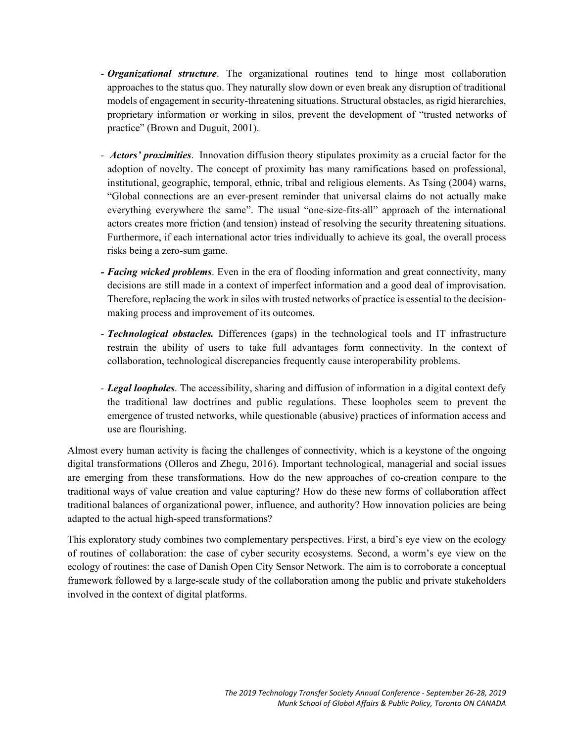- *Organizational structure*. The organizational routines tend to hinge most collaboration approaches to the status quo. They naturally slow down or even break any disruption of traditional models of engagement in security-threatening situations. Structural obstacles, as rigid hierarchies, proprietary information or working in silos, prevent the development of "trusted networks of practice" (Brown and Duguit, 2001).
- - *Actors' proximities*. Innovation diffusion theory stipulates proximity as a crucial factor for the adoption of novelty. The concept of proximity has many ramifications based on professional, institutional, geographic, temporal, ethnic, tribal and religious elements. As Tsing (2004) warns, "Global connections are an ever-present reminder that universal claims do not actually make everything everywhere the same". The usual "one-size-fits-all" approach of the international actors creates more friction (and tension) instead of resolving the security threatening situations. Furthermore, if each international actor tries individually to achieve its goal, the overall process risks being a zero-sum game.
- *Facing wicked problems*. Even in the era of flooding information and great connectivity, many decisions are still made in a context of imperfect information and a good deal of improvisation. Therefore, replacing the work in silos with trusted networks of practice is essential to the decisionmaking process and improvement of its outcomes.
- *Technological obstacles.* Differences (gaps) in the technological tools and IT infrastructure restrain the ability of users to take full advantages form connectivity. In the context of collaboration, technological discrepancies frequently cause interoperability problems.
- *Legal loopholes*. The accessibility, sharing and diffusion of information in a digital context defy the traditional law doctrines and public regulations. These loopholes seem to prevent the emergence of trusted networks, while questionable (abusive) practices of information access and use are flourishing.

Almost every human activity is facing the challenges of connectivity, which is a keystone of the ongoing digital transformations (Olleros and Zhegu, 2016). Important technological, managerial and social issues are emerging from these transformations. How do the new approaches of co-creation compare to the traditional ways of value creation and value capturing? How do these new forms of collaboration affect traditional balances of organizational power, influence, and authority? How innovation policies are being adapted to the actual high-speed transformations?

This exploratory study combines two complementary perspectives. First, a bird's eye view on the ecology of routines of collaboration: the case of cyber security ecosystems. Second, a worm's eye view on the ecology of routines: the case of Danish Open City Sensor Network. The aim is to corroborate a conceptual framework followed by a large-scale study of the collaboration among the public and private stakeholders involved in the context of digital platforms.